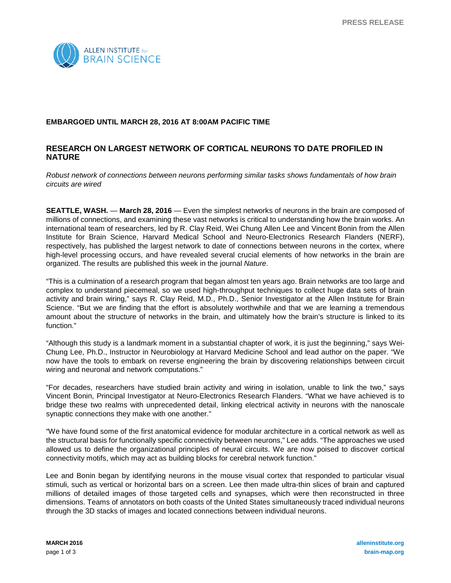

## **EMBARGOED UNTIL MARCH 28, 2016 AT 8:00AM PACIFIC TIME**

# **RESEARCH ON LARGEST NETWORK OF CORTICAL NEURONS TO DATE PROFILED IN NATURE**

*Robust network of connections between neurons performing similar tasks shows fundamentals of how brain circuits are wired*

**SEATTLE, WASH.** — **March 28, 2016** — Even the simplest networks of neurons in the brain are composed of millions of connections, and examining these vast networks is critical to understanding how the brain works. An international team of researchers, led by R. Clay Reid, Wei Chung Allen Lee and Vincent Bonin from the Allen Institute for Brain Science, Harvard Medical School and Neuro-Electronics Research Flanders (NERF), respectively, has published the largest network to date of connections between neurons in the cortex, where high-level processing occurs, and have revealed several crucial elements of how networks in the brain are organized. The results are published this week in the journal *Nature*.

"This is a culmination of a research program that began almost ten years ago. Brain networks are too large and complex to understand piecemeal, so we used high-throughput techniques to collect huge data sets of brain activity and brain wiring," says R. Clay Reid, M.D., Ph.D., Senior Investigator at the Allen Institute for Brain Science. "But we are finding that the effort is absolutely worthwhile and that we are learning a tremendous amount about the structure of networks in the brain, and ultimately how the brain's structure is linked to its function."

"Although this study is a landmark moment in a substantial chapter of work, it is just the beginning," says Wei-Chung Lee, Ph.D., Instructor in Neurobiology at Harvard Medicine School and lead author on the paper. "We now have the tools to embark on reverse engineering the brain by discovering relationships between circuit wiring and neuronal and network computations."

"For decades, researchers have studied brain activity and wiring in isolation, unable to link the two," says Vincent Bonin, Principal Investigator at Neuro-Electronics Research Flanders. "What we have achieved is to bridge these two realms with unprecedented detail, linking electrical activity in neurons with the nanoscale synaptic connections they make with one another."

"We have found some of the first anatomical evidence for modular architecture in a cortical network as well as the structural basis for functionally specific connectivity between neurons," Lee adds. "The approaches we used allowed us to define the organizational principles of neural circuits. We are now poised to discover cortical connectivity motifs, which may act as building blocks for cerebral network function."

Lee and Bonin began by identifying neurons in the mouse visual cortex that responded to particular visual stimuli, such as vertical or horizontal bars on a screen. Lee then made ultra-thin slices of brain and captured millions of detailed images of those targeted cells and synapses, which were then reconstructed in three dimensions. Teams of annotators on both coasts of the United States simultaneously traced individual neurons through the 3D stacks of images and located connections between individual neurons.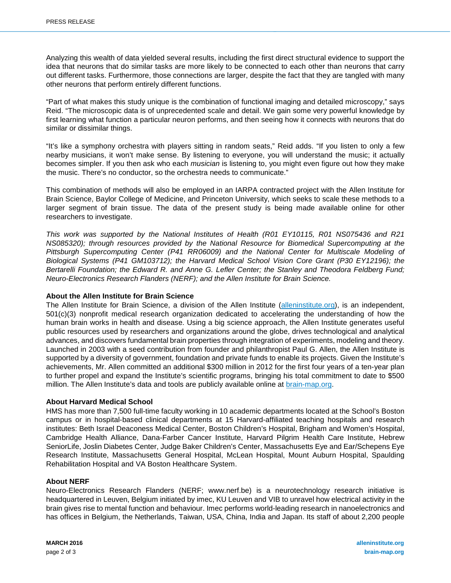Analyzing this wealth of data yielded several results, including the first direct structural evidence to support the idea that neurons that do similar tasks are more likely to be connected to each other than neurons that carry out different tasks. Furthermore, those connections are larger, despite the fact that they are tangled with many other neurons that perform entirely different functions.

"Part of what makes this study unique is the combination of functional imaging and detailed microscopy," says Reid. "The microscopic data is of unprecedented scale and detail. We gain some very powerful knowledge by first learning what function a particular neuron performs, and then seeing how it connects with neurons that do similar or dissimilar things.

"It's like a symphony orchestra with players sitting in random seats," Reid adds. "If you listen to only a few nearby musicians, it won't make sense. By listening to everyone, you will understand the music; it actually becomes simpler. If you then ask who each *musician* is listening to, you might even figure out how they make the music. There's no conductor, so the orchestra needs to communicate."

This combination of methods will also be employed in an IARPA contracted project with the Allen Institute for Brain Science, Baylor College of Medicine, and Princeton University, which seeks to scale these methods to a larger segment of brain tissue. The data of the present study is being made available online for other researchers to investigate.

*This work was supported by the National Institutes of Health (R01 EY10115, R01 NS075436 and R21 NS085320); through resources provided by the National Resource for Biomedical Supercomputing at the Pittsburgh Supercomputing Center (P41 RR06009) and the National Center for Multiscale Modeling of Biological Systems (P41 GM103712); the Harvard Medical School Vision Core Grant (P30 EY12196); the Bertarelli Foundation; the Edward R. and Anne G. Lefler Center; the Stanley and Theodora Feldberg Fund; Neuro-Electronics Research Flanders (NERF); and the Allen Institute for Brain Science.* 

## **About the Allen Institute for Brain Science**

The Allen Institute for Brain Science, a division of the Allen Institute [\(alleninstitute.org\)](http://alleninstitute.org/), is an independent, 501(c)(3) nonprofit medical research organization dedicated to accelerating the understanding of how the human brain works in health and disease. Using a big science approach, the Allen Institute generates useful public resources used by researchers and organizations around the globe, drives technological and analytical advances, and discovers fundamental brain properties through integration of experiments, modeling and theory. Launched in 2003 with a seed contribution from founder and philanthropist Paul G. Allen, the Allen Institute is supported by a diversity of government, foundation and private funds to enable its projects. Given the Institute's achievements, Mr. Allen committed an additional \$300 million in 2012 for the first four years of a ten-year plan to further propel and expand the Institute's scientific programs, bringing his total commitment to date to \$500 million. The Allen Institute's data and tools are publicly available online at [brain-map.org.](http://brain-map.org/)

#### **About Harvard Medical School**

HMS has more than 7,500 full-time faculty working in 10 academic departments located at the School's Boston campus or in hospital-based clinical departments at 15 Harvard-affiliated teaching hospitals and research institutes: Beth Israel Deaconess Medical Center, Boston Children's Hospital, Brigham and Women's Hospital, Cambridge Health Alliance, Dana-Farber Cancer Institute, Harvard Pilgrim Health Care Institute, Hebrew SeniorLife, Joslin Diabetes Center, Judge Baker Children's Center, Massachusetts Eye and Ear/Schepens Eye Research Institute, Massachusetts General Hospital, McLean Hospital, Mount Auburn Hospital, Spaulding Rehabilitation Hospital and VA Boston Healthcare System.

### **About NERF**

Neuro-Electronics Research Flanders (NERF; www.nerf.be) is a neurotechnology research initiative is headquartered in Leuven, Belgium initiated by imec, KU Leuven and VIB to unravel how electrical activity in the brain gives rise to mental function and behaviour. Imec performs world-leading research in nanoelectronics and has offices in Belgium, the Netherlands, Taiwan, USA, China, India and Japan. Its staff of about 2,200 people